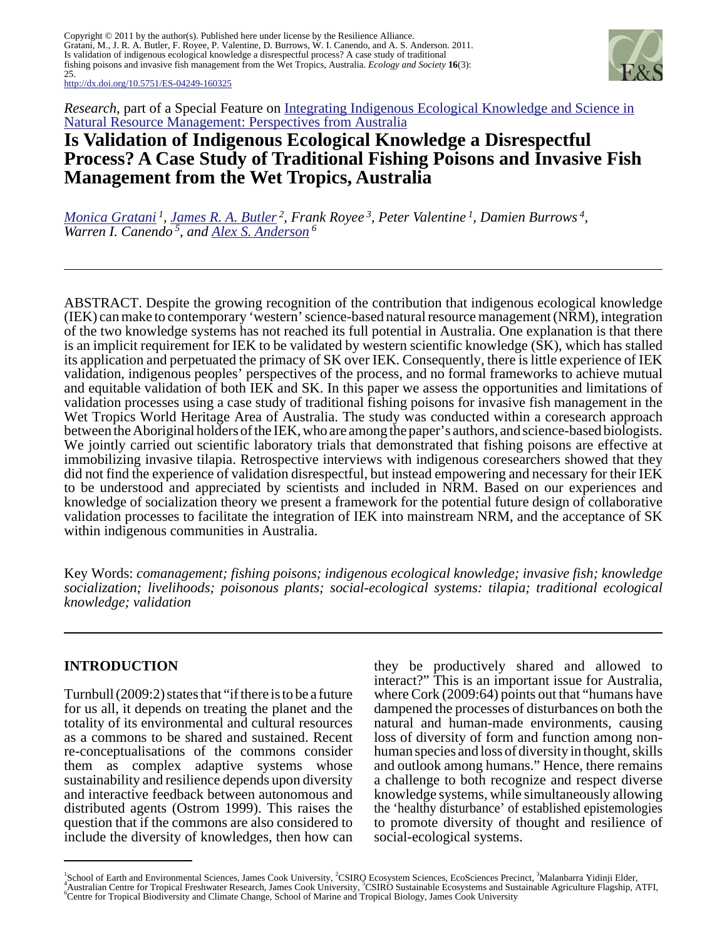Copyright © 2011 by the author(s). Published here under license by the Resilience Alliance. Gratani, M., J. R. A. Butler, F. Royee, P. Valentine, D. Burrows, W. I. Canendo, and A. S. Anderson. 2011. Is validation of indigenous ecological knowledge a disrespectful process? A case study of traditional fishing poisons and invasive fish management from the Wet Tropics, Australia. *Ecology and Society* **16**(3): 25. <http://dx.doi.org/10.5751/ES-04249-160325>



*Research*, part of a Special Feature on [Integrating Indigenous Ecological Knowledge and Science in](http://www.ecologyandsociety.org/viewissue.php?sf=50) [Natural Resource Management: Perspectives from Australia](http://www.ecologyandsociety.org/viewissue.php?sf=50)

# **Is Validation of Indigenous Ecological Knowledge a Disrespectful Process? A Case Study of Traditional Fishing Poisons and Invasive Fish Management from the Wet Tropics, Australia**

*[Monica Gratani](mailto:monica.gratani@jcu.edu.au)<sup>1</sup> , [James R. A. Butler](mailto:james.butler@csiro.au)<sup>2</sup> , Frank Royee<sup>3</sup> , Peter Valentine<sup>1</sup> , Damien Burrows<sup>4</sup> , Warren I. Canendo<sup>5</sup>, and [Alex S. Anderson](mailto:alexander.anderson@my.jcu.edu.au)<sup>6</sup>*

ABSTRACT. Despite the growing recognition of the contribution that indigenous ecological knowledge (IEK) can make to contemporary 'western' science-based natural resource management (NRM), integration of the two knowledge systems has not reached its full potential in Australia. One explanation is that there is an implicit requirement for IEK to be validated by western scientific knowledge (SK), which has stalled its application and perpetuated the primacy of SK over IEK. Consequently, there is little experience of IEK validation, indigenous peoples' perspectives of the process, and no formal frameworks to achieve mutual and equitable validation of both IEK and SK. In this paper we assess the opportunities and limitations of validation processes using a case study of traditional fishing poisons for invasive fish management in the Wet Tropics World Heritage Area of Australia. The study was conducted within a coresearch approach between the Aboriginal holders of the IEK, who are among the paper's authors, and science-based biologists. We jointly carried out scientific laboratory trials that demonstrated that fishing poisons are effective at immobilizing invasive tilapia. Retrospective interviews with indigenous coresearchers showed that they did not find the experience of validation disrespectful, but instead empowering and necessary for their IEK to be understood and appreciated by scientists and included in NRM. Based on our experiences and knowledge of socialization theory we present a framework for the potential future design of collaborative validation processes to facilitate the integration of IEK into mainstream NRM, and the acceptance of SK within indigenous communities in Australia.

Key Words: *comanagement; fishing poisons; indigenous ecological knowledge; invasive fish; knowledge socialization; livelihoods; poisonous plants; social-ecological systems: tilapia; traditional ecological knowledge; validation*

# **INTRODUCTION**

Turnbull (2009:2) states that "if there is to be a future for us all, it depends on treating the planet and the totality of its environmental and cultural resources as a commons to be shared and sustained. Recent re-conceptualisations of the commons consider them as complex adaptive systems whose sustainability and resilience depends upon diversity and interactive feedback between autonomous and distributed agents (Ostrom 1999). This raises the question that if the commons are also considered to include the diversity of knowledges, then how can they be productively shared and allowed to interact?" This is an important issue for Australia, where Cork (2009:64) points out that "humans have dampened the processes of disturbances on both the natural and human-made environments, causing loss of diversity of form and function among nonhuman species and loss of diversity in thought, skills and outlook among humans." Hence, there remains a challenge to both recognize and respect diverse knowledge systems, while simultaneously allowing the 'healthy disturbance' of established epistemologies to promote diversity of thought and resilience of social-ecological systems.

<sup>1</sup> School of Earth and Environmental Sciences, James Cook University, <sup>2</sup>CSIRO Ecosystem Sciences, EcoSciences Precinct, <sup>3</sup>Malanbarra Yidinji Elder, <sup>4</sup>Australian Centre for Tropical Freshwater Research, James Cook University, <sup>5</sup>CSIRO Sustainable Ecosystems and Sustainable Agriculture Flagship, ATFI, <sup>4</sup>Centre for Tropical Biodiversity and Climate Change, School of Ma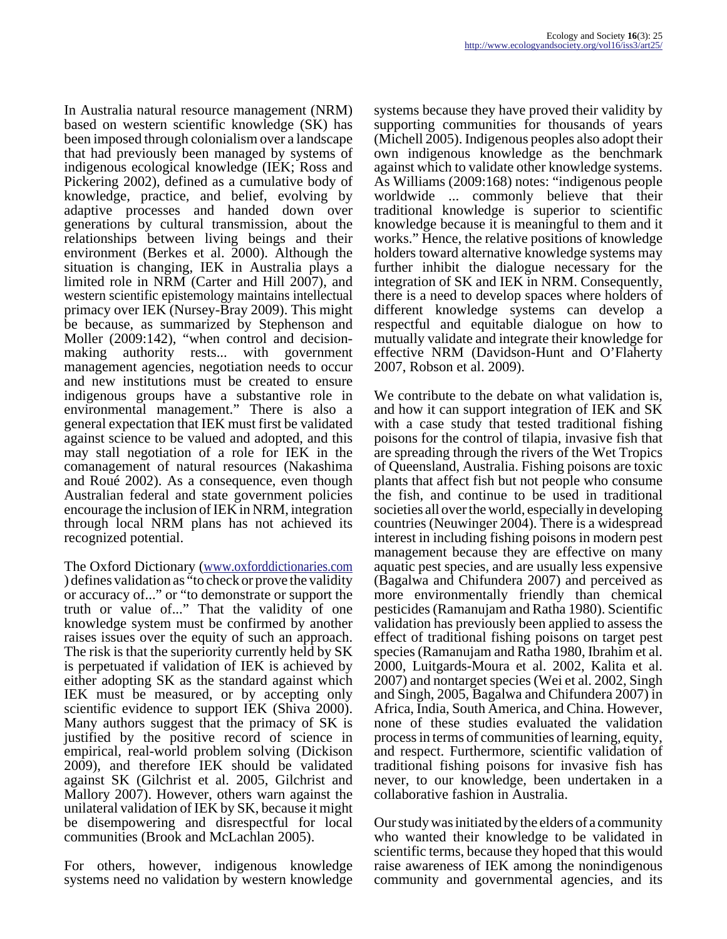In Australia natural resource management (NRM) based on western scientific knowledge (SK) has been imposed through colonialism over a landscape that had previously been managed by systems of indigenous ecological knowledge (IEK; Ross and Pickering 2002), defined as a cumulative body of knowledge, practice, and belief, evolving by adaptive processes and handed down over generations by cultural transmission, about the relationships between living beings and their environment (Berkes et al. 2000). Although the situation is changing, IEK in Australia plays a limited role in NRM (Carter and Hill 2007), and western scientific epistemology maintains intellectual primacy over IEK (Nursey-Bray 2009). This might be because, as summarized by Stephenson and Moller (2009:142), "when control and decisionmaking authority rests... with government management agencies, negotiation needs to occur and new institutions must be created to ensure indigenous groups have a substantive role in environmental management." There is also a general expectation that IEK must first be validated against science to be valued and adopted, and this may stall negotiation of a role for IEK in the comanagement of natural resources (Nakashima and Roué 2002). As a consequence, even though Australian federal and state government policies encourage the inclusion of IEK in NRM, integration through local NRM plans has not achieved its recognized potential.

The Oxford Dictionary ([www.oxforddictionaries.com](http://www.oxforddictionaries.com) ) defines validation as "to check or prove the validity or accuracy of..." or "to demonstrate or support the truth or value of..." That the validity of one knowledge system must be confirmed by another raises issues over the equity of such an approach. The risk is that the superiority currently held by SK is perpetuated if validation of IEK is achieved by either adopting SK as the standard against which IEK must be measured, or by accepting only scientific evidence to support IEK (Shiva 2000). Many authors suggest that the primacy of SK is justified by the positive record of science in empirical, real-world problem solving (Dickison 2009), and therefore IEK should be validated against SK (Gilchrist et al. 2005, Gilchrist and Mallory 2007). However, others warn against the unilateral validation of IEK by SK, because it might be disempowering and disrespectful for local communities (Brook and McLachlan 2005).

For others, however, indigenous knowledge systems need no validation by western knowledge systems because they have proved their validity by supporting communities for thousands of years (Michell 2005). Indigenous peoples also adopt their own indigenous knowledge as the benchmark against which to validate other knowledge systems. As Williams (2009:168) notes: "indigenous people worldwide ... commonly believe that their traditional knowledge is superior to scientific knowledge because it is meaningful to them and it works." Hence, the relative positions of knowledge holders toward alternative knowledge systems may further inhibit the dialogue necessary for the integration of SK and IEK in NRM. Consequently, there is a need to develop spaces where holders of different knowledge systems can develop a respectful and equitable dialogue on how to mutually validate and integrate their knowledge for effective NRM (Davidson-Hunt and O'Flaherty 2007, Robson et al. 2009).

We contribute to the debate on what validation is, and how it can support integration of IEK and SK with a case study that tested traditional fishing poisons for the control of tilapia, invasive fish that are spreading through the rivers of the Wet Tropics of Queensland, Australia. Fishing poisons are toxic plants that affect fish but not people who consume the fish, and continue to be used in traditional societies all over the world, especially in developing countries (Neuwinger 2004). There is a widespread interest in including fishing poisons in modern pest management because they are effective on many aquatic pest species, and are usually less expensive (Bagalwa and Chifundera 2007) and perceived as more environmentally friendly than chemical pesticides (Ramanujam and Ratha 1980). Scientific validation has previously been applied to assess the effect of traditional fishing poisons on target pest species (Ramanujam and Ratha 1980, Ibrahim et al. 2000, Luitgards-Moura et al. 2002, Kalita et al. 2007) and nontarget species (Wei et al. 2002, Singh and Singh, 2005, Bagalwa and Chifundera 2007) in Africa, India, South America, and China. However, none of these studies evaluated the validation process in terms of communities of learning, equity, and respect. Furthermore, scientific validation of traditional fishing poisons for invasive fish has never, to our knowledge, been undertaken in a collaborative fashion in Australia.

Our study was initiated by the elders of a community who wanted their knowledge to be validated in scientific terms, because they hoped that this would raise awareness of IEK among the nonindigenous community and governmental agencies, and its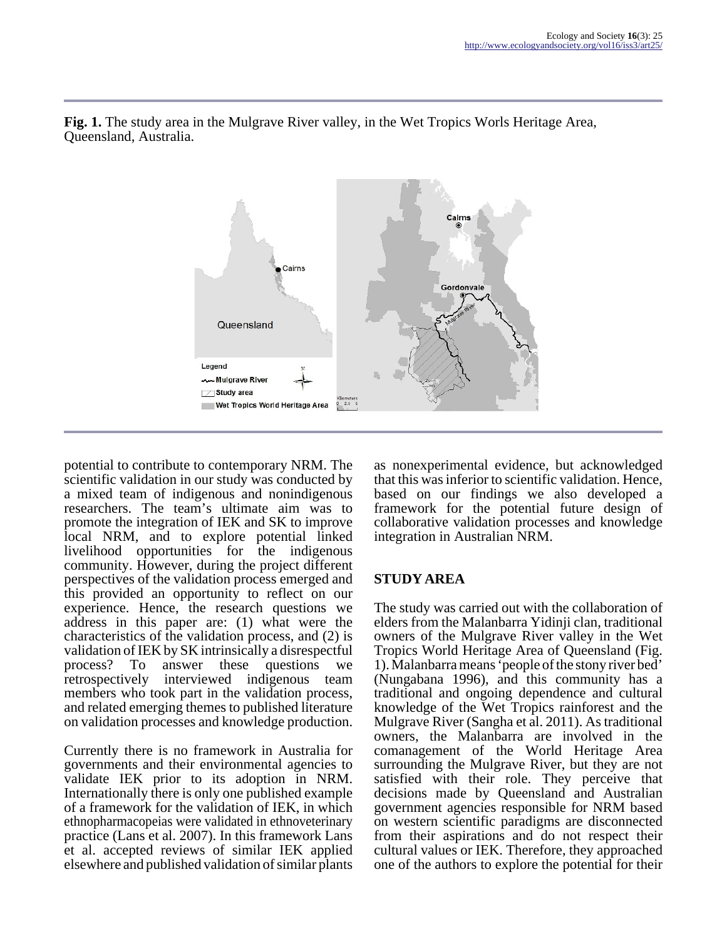

**Fig. 1.** The study area in the Mulgrave River valley, in the Wet Tropics Worls Heritage Area, Queensland, Australia.

potential to contribute to contemporary NRM. The scientific validation in our study was conducted by a mixed team of indigenous and nonindigenous researchers. The team's ultimate aim was to promote the integration of IEK and SK to improve local NRM, and to explore potential linked livelihood opportunities for the indigenous community. However, during the project different perspectives of the validation process emerged and this provided an opportunity to reflect on our experience. Hence, the research questions we address in this paper are: (1) what were the characteristics of the validation process, and (2) is validation of IEK by SK intrinsically a disrespectful process? To answer these questions we<br>retrospectively interviewed indigenous team interviewed indigenous team members who took part in the validation process, and related emerging themes to published literature on validation processes and knowledge production.

Currently there is no framework in Australia for governments and their environmental agencies to validate IEK prior to its adoption in NRM. Internationally there is only one published example of a framework for the validation of IEK, in which ethnopharmacopeias were validated in ethnoveterinary practice (Lans et al. 2007). In this framework Lans et al. accepted reviews of similar IEK applied elsewhere and published validation of similar plants

as nonexperimental evidence, but acknowledged that this was inferior to scientific validation. Hence, based on our findings we also developed a framework for the potential future design of collaborative validation processes and knowledge integration in Australian NRM.

# **STUDY AREA**

The study was carried out with the collaboration of elders from the Malanbarra Yidinji clan, traditional owners of the Mulgrave River valley in the Wet Tropics World Heritage Area of Queensland (Fig. 1). Malanbarra means 'people of the stony river bed' (Nungabana 1996), and this community has a traditional and ongoing dependence and cultural knowledge of the Wet Tropics rainforest and the Mulgrave River (Sangha et al. 2011). As traditional owners, the Malanbarra are involved in the comanagement of the World Heritage Area surrounding the Mulgrave River, but they are not satisfied with their role. They perceive that decisions made by Queensland and Australian government agencies responsible for NRM based on western scientific paradigms are disconnected from their aspirations and do not respect their cultural values or IEK. Therefore, they approached one of the authors to explore the potential for their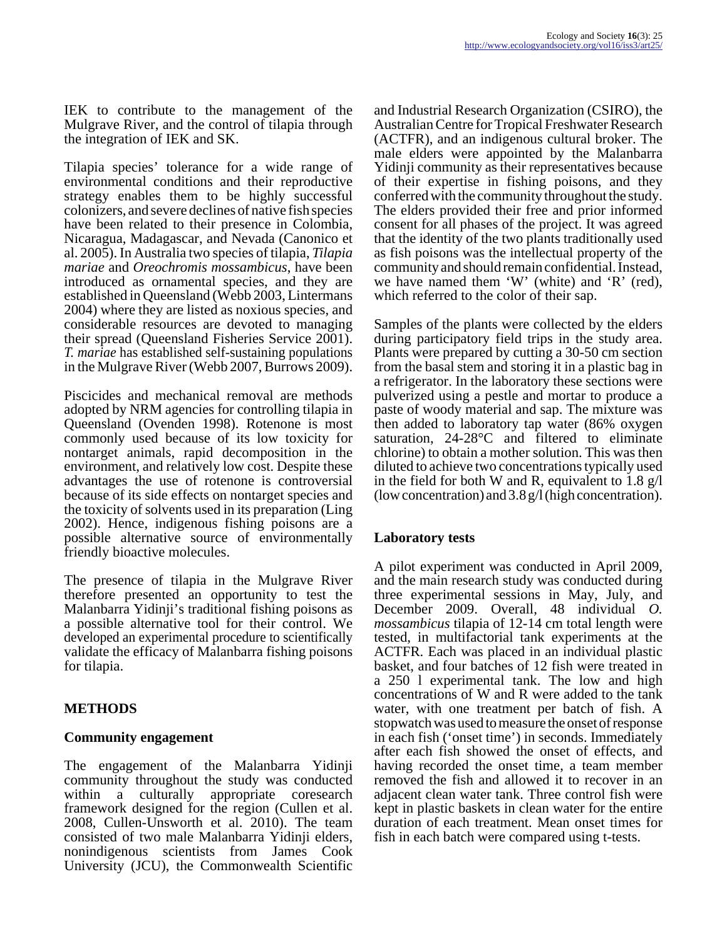IEK to contribute to the management of the Mulgrave River, and the control of tilapia through the integration of IEK and SK.

Tilapia species' tolerance for a wide range of environmental conditions and their reproductive strategy enables them to be highly successful colonizers, and severe declines of native fish species have been related to their presence in Colombia, Nicaragua, Madagascar, and Nevada (Canonico et al. 2005). In Australia two species of tilapia, *Tilapia mariae* and *Oreochromis mossambicus*, have been introduced as ornamental species, and they are established in Queensland (Webb 2003, Lintermans 2004) where they are listed as noxious species, and considerable resources are devoted to managing their spread (Queensland Fisheries Service 2001). *T. mariae* has established self-sustaining populations in the Mulgrave River (Webb 2007, Burrows 2009).

Piscicides and mechanical removal are methods adopted by NRM agencies for controlling tilapia in Queensland (Ovenden 1998). Rotenone is most commonly used because of its low toxicity for nontarget animals, rapid decomposition in the environment, and relatively low cost. Despite these advantages the use of rotenone is controversial because of its side effects on nontarget species and the toxicity of solvents used in its preparation (Ling 2002). Hence, indigenous fishing poisons are a possible alternative source of environmentally friendly bioactive molecules.

The presence of tilapia in the Mulgrave River therefore presented an opportunity to test the Malanbarra Yidinji's traditional fishing poisons as a possible alternative tool for their control. We developed an experimental procedure to scientifically validate the efficacy of Malanbarra fishing poisons for tilapia.

# **METHODS**

# **Community engagement**

The engagement of the Malanbarra Yidinji community throughout the study was conducted within a culturally appropriate coresearch framework designed for the region (Cullen et al. 2008, Cullen-Unsworth et al. 2010). The team consisted of two male Malanbarra Yidinji elders, nonindigenous scientists from James Cook University (JCU), the Commonwealth Scientific

and Industrial Research Organization (CSIRO), the Australian Centre for Tropical Freshwater Research (ACTFR), and an indigenous cultural broker. The male elders were appointed by the Malanbarra Yidinji community as their representatives because of their expertise in fishing poisons, and they conferred with the community throughout the study. The elders provided their free and prior informed consent for all phases of the project. It was agreed that the identity of the two plants traditionally used as fish poisons was the intellectual property of the community and should remain confidential. Instead, we have named them 'W' (white) and 'R' (red), which referred to the color of their sap.

Samples of the plants were collected by the elders during participatory field trips in the study area. Plants were prepared by cutting a 30-50 cm section from the basal stem and storing it in a plastic bag in a refrigerator. In the laboratory these sections were pulverized using a pestle and mortar to produce a paste of woody material and sap. The mixture was then added to laboratory tap water (86% oxygen saturation, 24-28°C and filtered to eliminate chlorine) to obtain a mother solution. This was then diluted to achieve two concentrations typically used in the field for both W and R, equivalent to 1.8 g/l (low concentration) and 3.8 g/l (high concentration).

# **Laboratory tests**

A pilot experiment was conducted in April 2009, and the main research study was conducted during three experimental sessions in May, July, and December 2009. Overall, 48 individual *O. mossambicus* tilapia of 12-14 cm total length were tested, in multifactorial tank experiments at the ACTFR. Each was placed in an individual plastic basket, and four batches of 12 fish were treated in a 250 l experimental tank. The low and high concentrations of W and R were added to the tank water, with one treatment per batch of fish. A stopwatch was used to measure the onset of response in each fish ('onset time') in seconds. Immediately after each fish showed the onset of effects, and having recorded the onset time, a team member removed the fish and allowed it to recover in an adjacent clean water tank. Three control fish were kept in plastic baskets in clean water for the entire duration of each treatment. Mean onset times for fish in each batch were compared using t-tests.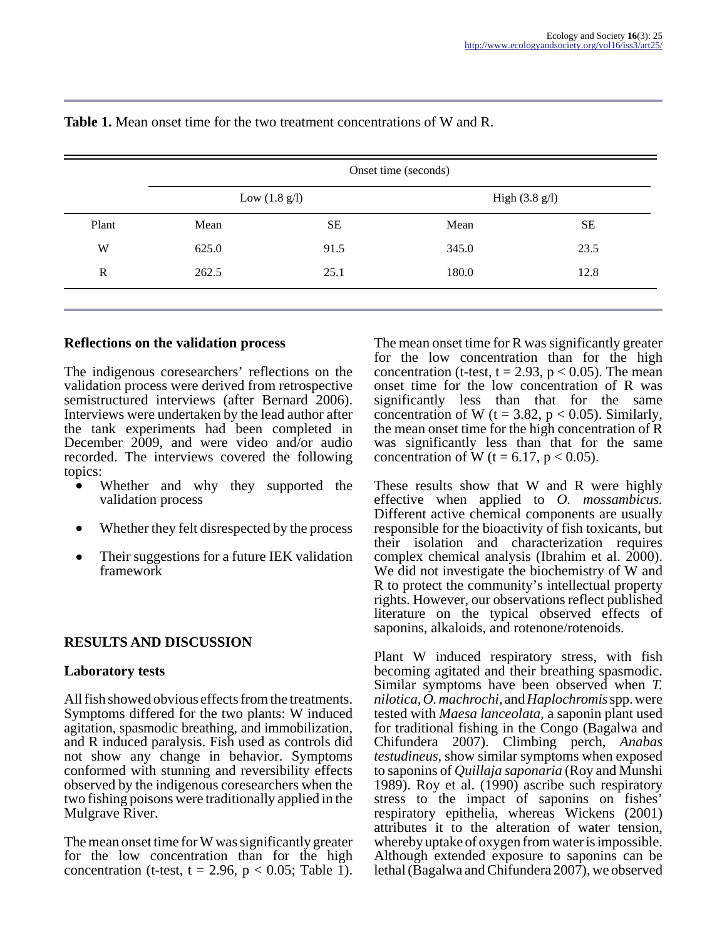| Plant        | Onset time (seconds)    |      |                          |           |
|--------------|-------------------------|------|--------------------------|-----------|
|              | Low $(1.8 \text{ g/l})$ |      | High $(3.8 \text{ g/l})$ |           |
|              | Mean                    | SE   | Mean                     | <b>SE</b> |
| W            | 625.0                   | 91.5 | 345.0                    | 23.5      |
| $\mathbb{R}$ | 262.5                   | 25.1 | 180.0                    | 12.8      |

# **Table 1.** Mean onset time for the two treatment concentrations of W and R.

#### **Reflections on the validation process**

The indigenous coresearchers' reflections on the validation process were derived from retrospective semistructured interviews (after Bernard 2006). Interviews were undertaken by the lead author after the tank experiments had been completed in December 2009, and were video and/or audio recorded. The interviews covered the following topics:

- Whether and why they supported the validation process
- Whether they felt disrespected by the process
- Their suggestions for a future IEK validation framework

# **RESULTS AND DISCUSSION**

### **Laboratory tests**

All fish showed obvious effects from the treatments. Symptoms differed for the two plants: W induced agitation, spasmodic breathing, and immobilization, and R induced paralysis. Fish used as controls did not show any change in behavior. Symptoms conformed with stunning and reversibility effects observed by the indigenous coresearchers when the two fishing poisons were traditionally applied in the Mulgrave River.

The mean onset time for W was significantly greater for the low concentration than for the high concentration (t-test,  $t = 2.96$ ,  $p < 0.05$ ; Table 1).

The mean onset time for R was significantly greater for the low concentration than for the high concentration (t-test,  $t = 2.93$ ,  $p < 0.05$ ). The mean onset time for the low concentration of R was significantly less than that for the same concentration of W (t = 3.82, p < 0.05). Similarly, the mean onset time for the high concentration of R was significantly less than that for the same concentration of W (t = 6.17, p < 0.05).

These results show that W and R were highly effective when applied to *O. mossambicus.* Different active chemical components are usually responsible for the bioactivity of fish toxicants, but their isolation and characterization requires complex chemical analysis (Ibrahim et al. 2000). We did not investigate the biochemistry of W and R to protect the community's intellectual property rights. However, our observations reflect published literature on the typical observed effects of saponins, alkaloids, and rotenone/rotenoids.

Plant W induced respiratory stress, with fish becoming agitated and their breathing spasmodic. Similar symptoms have been observed when *T. nilotica,O. machrochi,* and *Haplochromis* spp. were tested with *Maesa lanceolata,* a saponin plant used for traditional fishing in the Congo (Bagalwa and Chifundera 2007). Climbing perch, *Anabas testudineus,* show similar symptoms when exposed to saponins of *Quillaja saponaria* (Roy and Munshi 1989). Roy et al. (1990) ascribe such respiratory stress to the impact of saponins on fishes' respiratory epithelia, whereas Wickens (2001) attributes it to the alteration of water tension, whereby uptake of oxygen from water is impossible. Although extended exposure to saponins can be lethal (Bagalwa and Chifundera 2007), we observed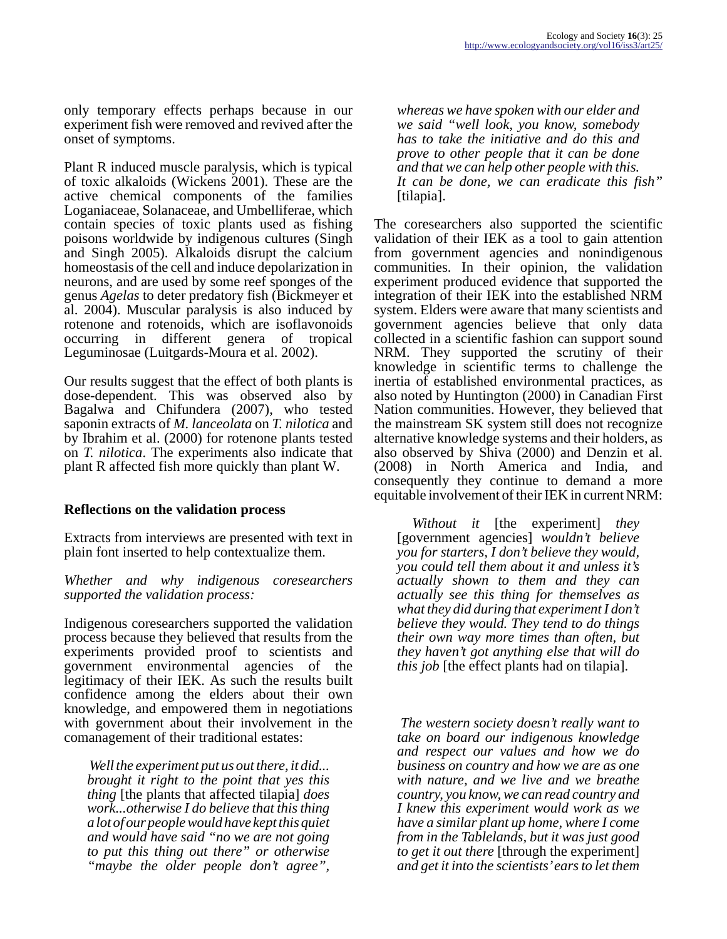only temporary effects perhaps because in our experiment fish were removed and revived after the onset of symptoms.

Plant R induced muscle paralysis, which is typical of toxic alkaloids (Wickens 2001). These are the active chemical components of the families Loganiaceae, Solanaceae, and Umbelliferae, which contain species of toxic plants used as fishing poisons worldwide by indigenous cultures (Singh and Singh 2005). Alkaloids disrupt the calcium homeostasis of the cell and induce depolarization in neurons, and are used by some reef sponges of the genus *Agelas* to deter predatory fish (Bickmeyer et al. 2004). Muscular paralysis is also induced by rotenone and rotenoids, which are isoflavonoids occurring in different genera of tropical Leguminosae (Luitgards-Moura et al. 2002).

Our results suggest that the effect of both plants is dose-dependent. This was observed also by Bagalwa and Chifundera (2007), who tested saponin extracts of *M. lanceolata* on *T. nilotica* and by Ibrahim et al. (2000) for rotenone plants tested on *T. nilotica*. The experiments also indicate that plant R affected fish more quickly than plant W.

# **Reflections on the validation process**

Extracts from interviews are presented with text in plain font inserted to help contextualize them.

*Whether and why indigenous coresearchers supported the validation process:*

Indigenous coresearchers supported the validation process because they believed that results from the experiments provided proof to scientists and government environmental agencies of the legitimacy of their IEK. As such the results built confidence among the elders about their own knowledge, and empowered them in negotiations with government about their involvement in the comanagement of their traditional estates:

*Well the experiment put us out there, it did... brought it right to the point that yes this thing* [the plants that affected tilapia] *does work...otherwise I do believe that this thing a lot of our people would have kept this quiet and would have said "no we are not going to put this thing out there" or otherwise "maybe the older people don't agree",*

*whereas we have spoken with our elder and we said "well look, you know, somebody has to take the initiative and do this and prove to other people that it can be done and that we can help other people with this. It can be done, we can eradicate this fish"* [tilapia].

The coresearchers also supported the scientific validation of their IEK as a tool to gain attention from government agencies and nonindigenous communities. In their opinion, the validation experiment produced evidence that supported the integration of their IEK into the established NRM system. Elders were aware that many scientists and government agencies believe that only data collected in a scientific fashion can support sound NRM. They supported the scrutiny of their knowledge in scientific terms to challenge the inertia of established environmental practices, as also noted by Huntington (2000) in Canadian First Nation communities. However, they believed that the mainstream SK system still does not recognize alternative knowledge systems and their holders, as also observed by Shiva (2000) and Denzin et al. (2008) in North America and India, and consequently they continue to demand a more equitable involvement of their IEK in current NRM:

*Without it* [the experiment] *they* [government agencies] *wouldn't believe you for starters, I don't believe they would, you could tell them about it and unless it's actually shown to them and they can actually see this thing for themselves as what they did during that experiment I don't believe they would. They tend to do things their own way more times than often, but they haven't got anything else that will do this job* [the effect plants had on tilapia].

*The western society doesn't really want to take on board our indigenous knowledge and respect our values and how we do business on country and how we are as one with nature, and we live and we breathe country, you know, we can read country and I knew this experiment would work as we have a similar plant up home, where I come from in the Tablelands, but it was just good to get it out there* [through the experiment] *and get it into the scientists' ears to let them*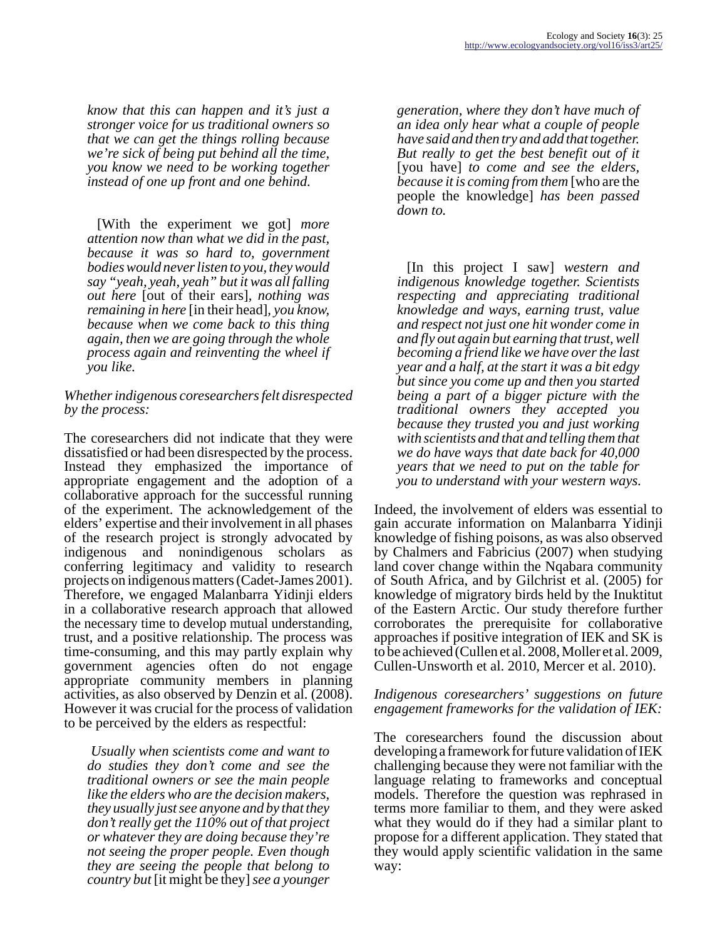*know that this can happen and it's just a stronger voice for us traditional owners so that we can get the things rolling because we're sick of being put behind all the time, you know we need to be working together instead of one up front and one behind.*

 [With the experiment we got] *more attention now than what we did in the past, because it was so hard to, government bodies would never listen to you, they would say "yeah, yeah, yeah" but it was all falling out here* [out of their ears]*, nothing was remaining in here* [in their head]*, you know, because when we come back to this thing again, then we are going through the whole process again and reinventing the wheel if you like.*

## *Whether indigenous coresearchers felt disrespected by the process:*

The coresearchers did not indicate that they were dissatisfied or had been disrespected by the process. Instead they emphasized the importance of appropriate engagement and the adoption of a collaborative approach for the successful running of the experiment. The acknowledgement of the elders' expertise and their involvement in all phases of the research project is strongly advocated by indigenous and nonindigenous scholars as conferring legitimacy and validity to research projects on indigenous matters (Cadet-James 2001). Therefore, we engaged Malanbarra Yidinji elders in a collaborative research approach that allowed the necessary time to develop mutual understanding, trust, and a positive relationship. The process was time-consuming, and this may partly explain why government agencies often do not engage appropriate community members in planning activities, as also observed by Denzin et al. (2008). However it was crucial for the process of validation to be perceived by the elders as respectful:

*Usually when scientists come and want to do studies they don't come and see the traditional owners or see the main people like the elders who are the decision makers, they usually just see anyone and by that they don't really get the 110% out of that project or whatever they are doing because they're not seeing the proper people. Even though they are seeing the people that belong to country but* [it might be they] *see a younger*

*generation, where they don't have much of an idea only hear what a couple of people have said and then try and add that together. But really to get the best benefit out of it* [you have] *to come and see the elders, because it is coming from them* [who are the people the knowledge] *has been passed down to.*

 [In this project I saw] *western and indigenous knowledge together. Scientists respecting and appreciating traditional knowledge and ways, earning trust, value and respect not just one hit wonder come in and fly out again but earning that trust, well becoming a friend like we have over the last year and a half, at the start it was a bit edgy but since you come up and then you started being a part of a bigger picture with the traditional owners they accepted you because they trusted you and just working with scientists and that and telling them that we do have ways that date back for 40,000 years that we need to put on the table for you to understand with your western ways.*

Indeed, the involvement of elders was essential to gain accurate information on Malanbarra Yidinji knowledge of fishing poisons, as was also observed by Chalmers and Fabricius (2007) when studying land cover change within the Nqabara community of South Africa, and by Gilchrist et al. (2005) for knowledge of migratory birds held by the Inuktitut of the Eastern Arctic. Our study therefore further corroborates the prerequisite for collaborative approaches if positive integration of IEK and SK is to be achieved (Cullen et al. 2008, Moller et al. 2009, Cullen-Unsworth et al. 2010, Mercer et al. 2010).

### *Indigenous coresearchers' suggestions on future engagement frameworks for the validation of IEK:*

The coresearchers found the discussion about developing a framework for future validation of IEK challenging because they were not familiar with the language relating to frameworks and conceptual models. Therefore the question was rephrased in terms more familiar to them, and they were asked what they would do if they had a similar plant to propose for a different application. They stated that they would apply scientific validation in the same way: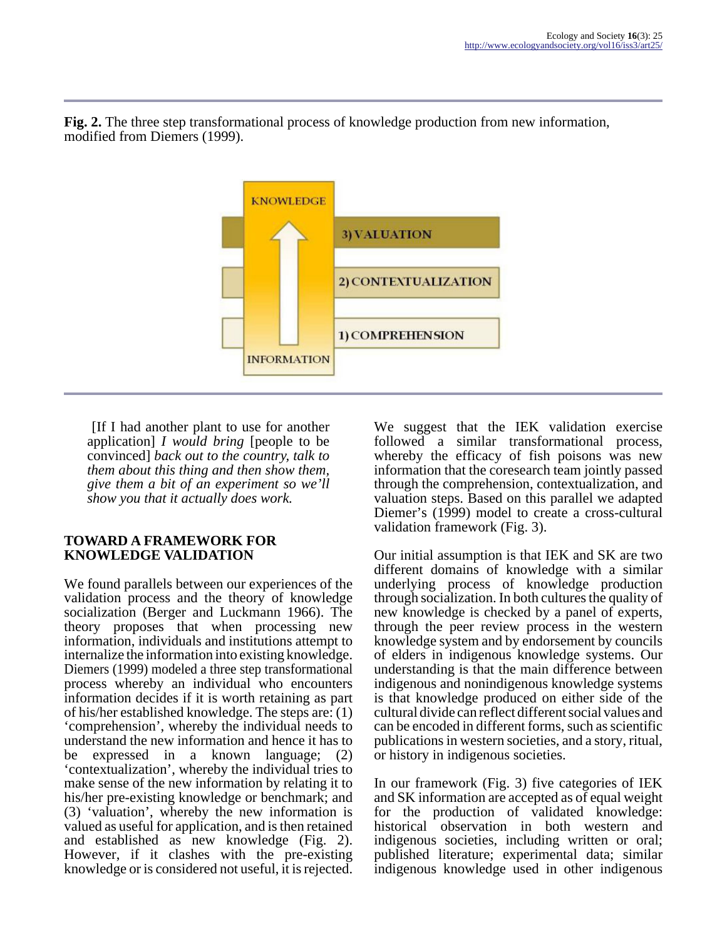

**Fig. 2.** The three step transformational process of knowledge production from new information, modified from Diemers (1999).

 [If I had another plant to use for another application] *I would bring* [people to be convinced] *back out to the country, talk to them about this thing and then show them, give them a bit of an experiment so we'll show you that it actually does work.*

### **TOWARD A FRAMEWORK FOR KNOWLEDGE VALIDATION**

We found parallels between our experiences of the validation process and the theory of knowledge socialization (Berger and Luckmann 1966). The theory proposes that when processing new information, individuals and institutions attempt to internalize the information into existing knowledge. Diemers (1999) modeled a three step transformational process whereby an individual who encounters information decides if it is worth retaining as part of his/her established knowledge. The steps are: (1) 'comprehension', whereby the individual needs to understand the new information and hence it has to be expressed in a known language; (2) 'contextualization', whereby the individual tries to make sense of the new information by relating it to his/her pre-existing knowledge or benchmark; and (3) 'valuation', whereby the new information is valued as useful for application, and is then retained and established as new knowledge (Fig. 2). However, if it clashes with the pre-existing knowledge or is considered not useful, it is rejected.

We suggest that the IEK validation exercise followed a similar transformational process, whereby the efficacy of fish poisons was new information that the coresearch team jointly passed through the comprehension, contextualization, and valuation steps. Based on this parallel we adapted Diemer's (1999) model to create a cross-cultural validation framework (Fig. 3).

Our initial assumption is that IEK and SK are two different domains of knowledge with a similar underlying process of knowledge production through socialization. In both cultures the quality of new knowledge is checked by a panel of experts, through the peer review process in the western knowledge system and by endorsement by councils of elders in indigenous knowledge systems. Our understanding is that the main difference between indigenous and nonindigenous knowledge systems is that knowledge produced on either side of the cultural divide can reflect different social values and can be encoded in different forms, such as scientific publications in western societies, and a story, ritual, or history in indigenous societies.

In our framework (Fig. 3) five categories of IEK and SK information are accepted as of equal weight for the production of validated knowledge: historical observation in both western and indigenous societies, including written or oral; published literature; experimental data; similar indigenous knowledge used in other indigenous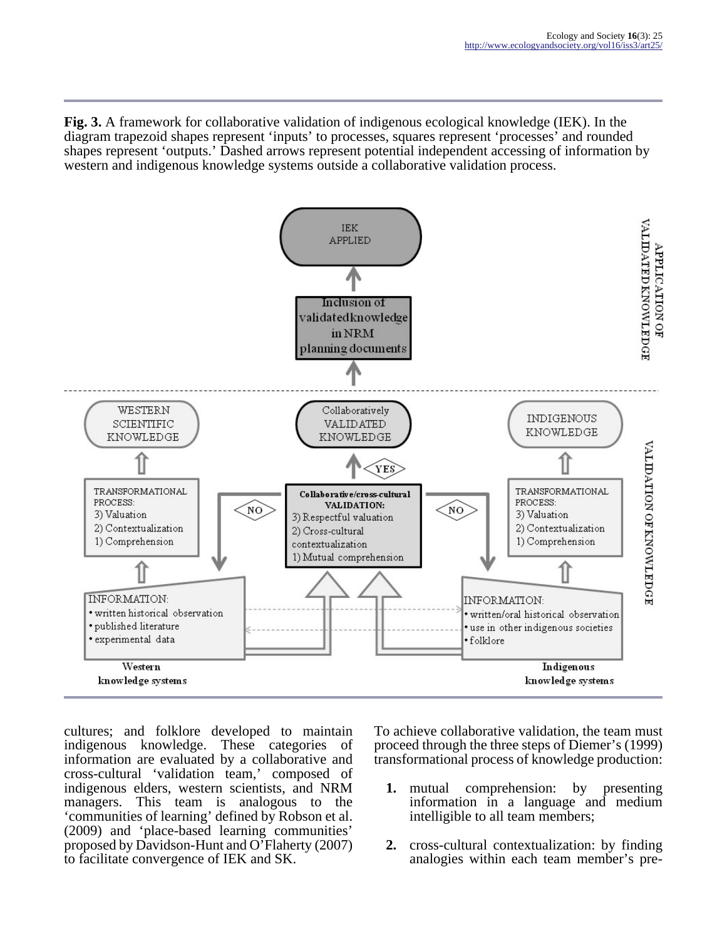**Fig. 3.** A framework for collaborative validation of indigenous ecological knowledge (IEK). In the diagram trapezoid shapes represent 'inputs' to processes, squares represent 'processes' and rounded shapes represent 'outputs.' Dashed arrows represent potential independent accessing of information by western and indigenous knowledge systems outside a collaborative validation process.



cultures; and folklore developed to maintain indigenous knowledge. These categories of information are evaluated by a collaborative and cross-cultural 'validation team,' composed of indigenous elders, western scientists, and NRM managers. This team is analogous to the 'communities of learning' defined by Robson et al. (2009) and 'place-based learning communities' proposed by Davidson-Hunt and O'Flaherty (2007) to facilitate convergence of IEK and SK.

To achieve collaborative validation, the team must proceed through the three steps of Diemer's (1999) transformational process of knowledge production:

- **1.** mutual comprehension: by presenting information in a language and medium intelligible to all team members;
- **2.** cross-cultural contextualization: by finding analogies within each team member's pre-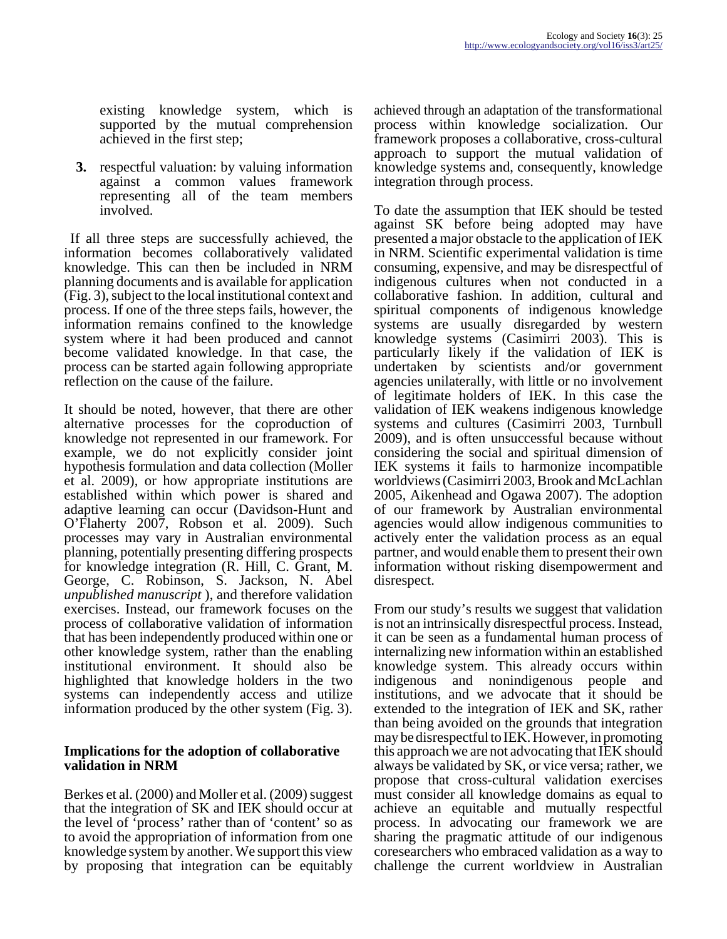existing knowledge system, which is supported by the mutual comprehension achieved in the first step;

**3.** respectful valuation: by valuing information against a common values framework representing all of the team members involved.

 If all three steps are successfully achieved, the information becomes collaboratively validated knowledge. This can then be included in NRM planning documents and is available for application (Fig. 3), subject to the local institutional context and process. If one of the three steps fails, however, the information remains confined to the knowledge system where it had been produced and cannot become validated knowledge. In that case, the process can be started again following appropriate reflection on the cause of the failure.

It should be noted, however, that there are other alternative processes for the coproduction of knowledge not represented in our framework. For example, we do not explicitly consider joint hypothesis formulation and data collection (Moller et al. 2009), or how appropriate institutions are established within which power is shared and adaptive learning can occur (Davidson-Hunt and O'Flaherty 2007, Robson et al. 2009). Such processes may vary in Australian environmental planning, potentially presenting differing prospects for knowledge integration (R. Hill, C. Grant, M. George, C. Robinson, S. Jackson, N. Abel *unpublished manuscript* ), and therefore validation exercises. Instead, our framework focuses on the process of collaborative validation of information that has been independently produced within one or other knowledge system, rather than the enabling institutional environment. It should also be highlighted that knowledge holders in the two systems can independently access and utilize information produced by the other system (Fig. 3).

### **Implications for the adoption of collaborative validation in NRM**

Berkes et al. (2000) and Moller et al. (2009) suggest that the integration of SK and IEK should occur at the level of 'process' rather than of 'content' so as to avoid the appropriation of information from one knowledge system by another. We support this view by proposing that integration can be equitably achieved through an adaptation of the transformational process within knowledge socialization. Our framework proposes a collaborative, cross-cultural approach to support the mutual validation of knowledge systems and, consequently, knowledge integration through process.

To date the assumption that IEK should be tested against SK before being adopted may have presented a major obstacle to the application of IEK in NRM. Scientific experimental validation is time consuming, expensive, and may be disrespectful of indigenous cultures when not conducted in a collaborative fashion. In addition, cultural and spiritual components of indigenous knowledge systems are usually disregarded by western knowledge systems (Casimirri 2003). This is particularly likely if the validation of IEK is undertaken by scientists and/or government agencies unilaterally, with little or no involvement of legitimate holders of IEK. In this case the validation of IEK weakens indigenous knowledge systems and cultures (Casimirri 2003, Turnbull 2009), and is often unsuccessful because without considering the social and spiritual dimension of IEK systems it fails to harmonize incompatible worldviews (Casimirri 2003, Brook and McLachlan 2005, Aikenhead and Ogawa 2007). The adoption of our framework by Australian environmental agencies would allow indigenous communities to actively enter the validation process as an equal partner, and would enable them to present their own information without risking disempowerment and disrespect.

From our study's results we suggest that validation is not an intrinsically disrespectful process. Instead, it can be seen as a fundamental human process of internalizing new information within an established knowledge system. This already occurs within indigenous and nonindigenous people and institutions, and we advocate that it should be extended to the integration of IEK and SK, rather than being avoided on the grounds that integration may be disrespectful to IEK. However, in promoting this approach we are not advocating that IEK should always be validated by SK, or vice versa; rather, we propose that cross-cultural validation exercises must consider all knowledge domains as equal to achieve an equitable and mutually respectful process. In advocating our framework we are sharing the pragmatic attitude of our indigenous coresearchers who embraced validation as a way to challenge the current worldview in Australian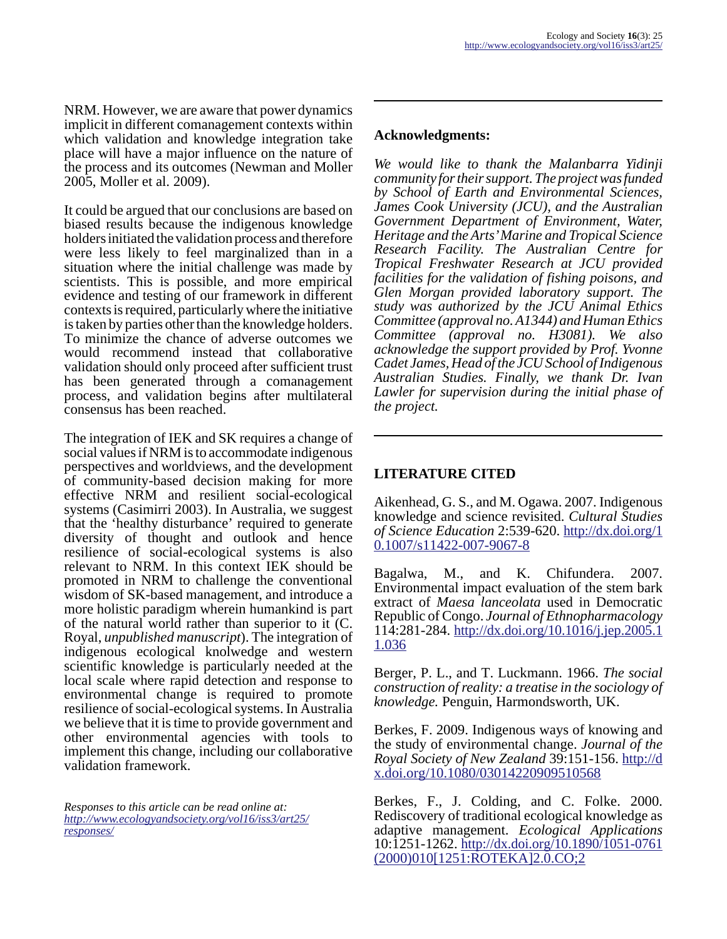NRM. However, we are aware that power dynamics implicit in different comanagement contexts within which validation and knowledge integration take place will have a major influence on the nature of the process and its outcomes (Newman and Moller 2005, Moller et al. 2009).

It could be argued that our conclusions are based on biased results because the indigenous knowledge holders initiated the validation process and therefore were less likely to feel marginalized than in a situation where the initial challenge was made by scientists. This is possible, and more empirical evidence and testing of our framework in different contexts is required, particularly where the initiative is taken by parties other than the knowledge holders. To minimize the chance of adverse outcomes we would recommend instead that collaborative validation should only proceed after sufficient trust has been generated through a comanagement process, and validation begins after multilateral consensus has been reached.

The integration of IEK and SK requires a change of social values if NRM is to accommodate indigenous perspectives and worldviews, and the development of community-based decision making for more effective NRM and resilient social-ecological systems (Casimirri 2003). In Australia, we suggest that the 'healthy disturbance' required to generate diversity of thought and outlook and hence resilience of social-ecological systems is also relevant to NRM. In this context IEK should be promoted in NRM to challenge the conventional wisdom of SK-based management, and introduce a more holistic paradigm wherein humankind is part of the natural world rather than superior to it (C. Royal, *unpublished manuscript*). The integration of indigenous ecological knolwedge and western scientific knowledge is particularly needed at the local scale where rapid detection and response to environmental change is required to promote resilience of social-ecological systems. In Australia we believe that it is time to provide government and other environmental agencies with tools to implement this change, including our collaborative validation framework.

*Responses to this article can be read online at: [http://www](http://www.ecologyandsociety.org/vol16/iss3/art25/responses/).ecologyandsociety.org/vol16/iss3/art25/ responses/*

#### **Acknowledgments:**

*We would like to thank the Malanbarra Yidinji community for their support. The project was funded by School of Earth and Environmental Sciences, James Cook University (JCU), and the Australian Government Department of Environment, Water, Heritage and the Arts' Marine and Tropical Science Research Facility. The Australian Centre for Tropical Freshwater Research at JCU provided facilities for the validation of fishing poisons, and Glen Morgan provided laboratory support. The study was authorized by the JCU Animal Ethics Committee (approval no. A1344) and Human Ethics Committee (approval no. H3081). We also acknowledge the support provided by Prof. Yvonne Cadet James, Head of the JCU School of Indigenous Australian Studies. Finally, we thank Dr. Ivan Lawler for supervision during the initial phase of the project.* 

# **LITERATURE CITED**

Aikenhead, G. S., and M. Ogawa. 2007. Indigenous knowledge and science revisited. *Cultural Studies of Science Education* 2:539-620. [http://dx.doi.org/1](http://dx.doi.org/10.1007/s11422-007-9067-8) [0.1007/s11422-007-9067-8](http://dx.doi.org/10.1007/s11422-007-9067-8)

Bagalwa, M., and K. Chifundera. 2007. Environmental impact evaluation of the stem bark extract of *Maesa lanceolata* used in Democratic Republic of Congo. *Journal of Ethnopharmacology* 114:281-284. [http://dx.doi.org/10.1016/j.jep.2005.1](http://dx.doi.org/10.1016/j.jep.2005.11.036) [1.036](http://dx.doi.org/10.1016/j.jep.2005.11.036)

Berger, P. L., and T. Luckmann. 1966. *The social construction of reality: a treatise in the sociology of knowledge.* Penguin, Harmondsworth, UK.

Berkes, F. 2009. Indigenous ways of knowing and the study of environmental change. *Journal of the Royal Society of New Zealand* 39:151-156. [http://d](http://dx.doi.org/10.1080/03014220909510568) [x.doi.org/10.1080/03014220909510568](http://dx.doi.org/10.1080/03014220909510568)

Berkes, F., J. Colding, and C. Folke. 2000. Rediscovery of traditional ecological knowledge as adaptive management. *Ecological Applications* 10:1251-1262. [http://dx.doi.org/10.1890/1051-0761](http://dx.doi.org/10.1890/1051-0761(2000)010[1251:ROTEKA]2.0.CO;2) [\(2000\)010\[1251:ROTEKA\]2.0.CO;2](http://dx.doi.org/10.1890/1051-0761(2000)010[1251:ROTEKA]2.0.CO;2)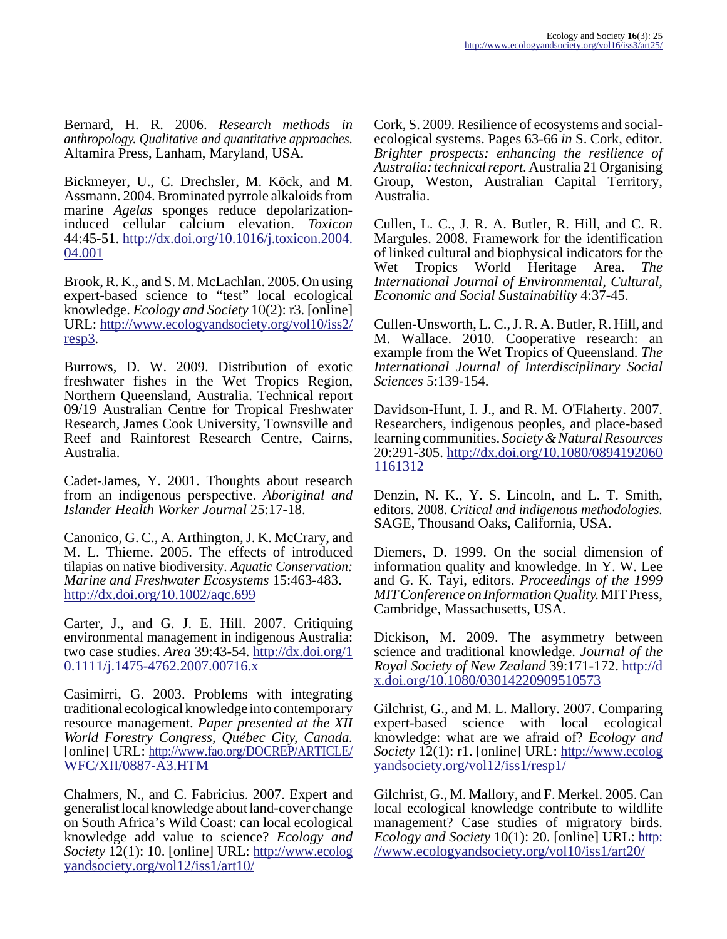Bernard, H. R. 2006. *Research methods in anthropology. Qualitative and quantitative approaches.* Altamira Press, Lanham, Maryland, USA.

Bickmeyer, U., C. Drechsler, M. Köck, and M. Assmann. 2004. Brominated pyrrole alkaloids from marine *Agelas* sponges reduce depolarizationinduced cellular calcium elevation. *Toxicon* 44:45-51. [http://dx.doi.org/10.1016/j.toxicon.2004.](http://dx.doi.org/10.1016/j.toxicon.2004.04.001) [04.001](http://dx.doi.org/10.1016/j.toxicon.2004.04.001)

Brook, R. K., and S. M. McLachlan. 2005. On using expert-based science to "test" local ecological knowledge. *Ecology and Society* 10(2): r3. [online] URL: [http://www.ecologyandsociety.org/vol10/iss2/](http://www.ecologyandsociety.org/vol10/iss2/resp3) [resp3.](http://www.ecologyandsociety.org/vol10/iss2/resp3)

Burrows, D. W. 2009. Distribution of exotic freshwater fishes in the Wet Tropics Region, Northern Queensland, Australia. Technical report 09/19 Australian Centre for Tropical Freshwater Research, James Cook University, Townsville and Reef and Rainforest Research Centre, Cairns, Australia.

Cadet-James, Y. 2001. Thoughts about research from an indigenous perspective. *Aboriginal and Islander Health Worker Journal* 25:17-18.

Canonico, G. C., A. Arthington, J. K. McCrary, and M. L. Thieme. 2005. The effects of introduced tilapias on native biodiversity. *Aquatic Conservation: Marine and Freshwater Ecosystems* 15:463-483. <http://dx.doi.org/10.1002/aqc.699>

Carter, J., and G. J. E. Hill. 2007. Critiquing environmental management in indigenous Australia: two case studies. *Area* 39:43-54. [http://dx.doi.org/1](http://dx.doi.org/10.1111/j.1475-4762.2007.00716.x)  $0.1111/j.1475-4762.2007.00716.x$ 

Casimirri, G. 2003. Problems with integrating traditional ecological knowledge into contemporary resource management. *Paper presented at the XII World Forestry Congress, Québec City, Canada.* [online] URL: [http://www.fao.org/DOCREP/ARTICLE/](http://www.fao.org/DOCREP/ARTICLE/WFC/XII/0887-A3.HTM) [WFC/XII/0887-A3.HTM](http://www.fao.org/DOCREP/ARTICLE/WFC/XII/0887-A3.HTM)

Chalmers, N., and C. Fabricius. 2007. Expert and generalist local knowledge about land-cover change on South Africa's Wild Coast: can local ecological knowledge add value to science? *Ecology and Society* 12(1): 10. [online] URL: [http://www.ecolog](http://www.ecologyandsociety.org/vol12/iss1/art10/) [yandsociety.org/vol12/iss1/art10/](http://www.ecologyandsociety.org/vol12/iss1/art10/)

Cork, S. 2009. Resilience of ecosystems and socialecological systems. Pages 63-66 *in* S. Cork, editor. *Brighter prospects: enhancing the resilience of Australia: technical report.* Australia 21 Organising Group, Weston, Australian Capital Territory, Australia.

Cullen, L. C., J. R. A. Butler, R. Hill, and C. R. Margules. 2008. Framework for the identification of linked cultural and biophysical indicators for the Wet Tropics World Heritage Area. The World Heritage Area. *The International Journal of Environmental, Cultural, Economic and Social Sustainability* 4:37-45.

Cullen-Unsworth, L. C., J. R. A. Butler, R. Hill, and M. Wallace. 2010. Cooperative research: an example from the Wet Tropics of Queensland. *The International Journal of Interdisciplinary Social Sciences* 5:139-154.

Davidson-Hunt, I. J., and R. M. O'Flaherty. 2007. Researchers, indigenous peoples, and place-based learning communities. *Society & Natural Resources* 20:291-305. [http://dx.doi.org/10.1080/0894192060](http://dx.doi.org/10.1080/08941920601161312) [1161312](http://dx.doi.org/10.1080/08941920601161312)

Denzin, N. K., Y. S. Lincoln, and L. T. Smith, editors. 2008. *Critical and indigenous methodologies.* SAGE, Thousand Oaks, California, USA.

Diemers, D. 1999. On the social dimension of information quality and knowledge. In Y. W. Lee and G. K. Tayi, editors. *Proceedings of the 1999 MIT Conference on Information Quality.* MIT Press, Cambridge, Massachusetts, USA.

Dickison, M. 2009. The asymmetry between science and traditional knowledge. *Journal of the Royal Society of New Zealand* 39:171-172. [http://d](http://dx.doi.org/10.1080/03014220909510573) [x.doi.org/10.1080/03014220909510573](http://dx.doi.org/10.1080/03014220909510573)

Gilchrist, G., and M. L. Mallory. 2007. Comparing expert-based science with local ecological knowledge: what are we afraid of? *Ecology and Society* 12(1): r1. [online] URL: [http://www.ecolog](http://www.ecologyandsociety.org/vol12/iss1/resp1/) [yandsociety.org/vol12/iss1/resp1/](http://www.ecologyandsociety.org/vol12/iss1/resp1/)

Gilchrist, G., M. Mallory, and F. Merkel. 2005. Can local ecological knowledge contribute to wildlife management? Case studies of migratory birds. *Ecology and Society* 10(1): 20. [online] URL: [http:](http://www.ecologyandsociety.org/vol10/iss1/art20/) [//www.ecologyandsociety.org/vol10/iss1/art20/](http://www.ecologyandsociety.org/vol10/iss1/art20/)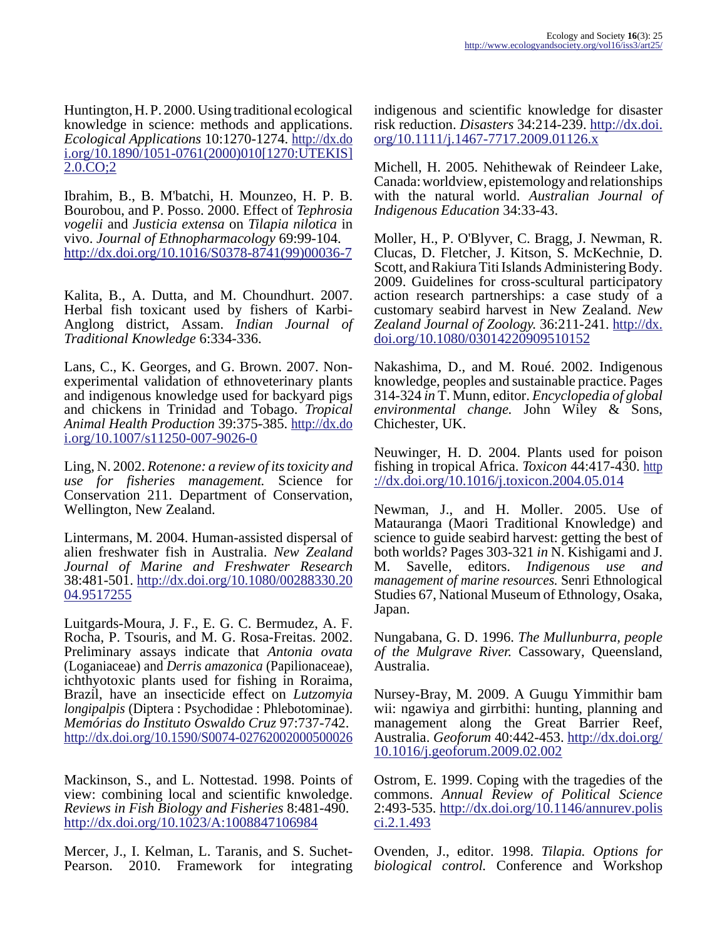Huntington, H. P. 2000. Using traditional ecological knowledge in science: methods and applications. *Ecological Applications* 10:1270-1274. [http://dx.do](http://dx.doi.org/10.1890/1051-0761(2000)010[1270:UTEKIS]2.0.CO;2) i.org/10.1890/1051-0761(2000)010[1270:UTEKIS] [2.0.CO;2](http://dx.doi.org/10.1890/1051-0761(2000)010[1270:UTEKIS]2.0.CO;2)

Ibrahim, B., B. M'batchi, H. Mounzeo, H. P. B. Bourobou, and P. Posso. 2000. Effect of *Tephrosia vogelii* and *Justicia extensa* on *Tilapia nilotica* in vivo. *Journal of Ethnopharmacology* 69:99-104. [http://dx.doi.org/10.1016/S0378-8741\(99\)00036-7](http://dx.doi.org/10.1016/S0378-8741(99)00036-7)

Kalita, B., A. Dutta, and M. Choundhurt. 2007. Herbal fish toxicant used by fishers of Karbi-Anglong district, Assam. *Indian Journal of Traditional Knowledge* 6:334-336.

Lans, C., K. Georges, and G. Brown. 2007. Nonexperimental validation of ethnoveterinary plants and indigenous knowledge used for backyard pigs and chickens in Trinidad and Tobago. *Tropical Animal Health Production* 39:375-385. [http://dx.do](http://dx.doi.org/10.1007/s11250-007-9026-0) [i.org/10.1007/s11250-007-9026-0](http://dx.doi.org/10.1007/s11250-007-9026-0)

Ling, N. 2002. *Rotenone: a review of its toxicity and use for fisheries management.* Science for Conservation 211. Department of Conservation, Wellington, New Zealand.

Lintermans, M. 2004. Human-assisted dispersal of alien freshwater fish in Australia. *New Zealand Journal of Marine and Freshwater Research* 38:481-501. [http://dx.doi.org/10.1080/00288330.20](http://dx.doi.org/10.1080/00288330.2004.9517255) [04.9517255](http://dx.doi.org/10.1080/00288330.2004.9517255)

Luitgards-Moura, J. F., E. G. C. Bermudez, A. F. Rocha, P. Tsouris, and M. G. Rosa-Freitas. 2002. Preliminary assays indicate that *Antonia ovata* (Loganiaceae) and *Derris amazonica* (Papilionaceae), ichthyotoxic plants used for fishing in Roraima, Brazil, have an insecticide effect on *Lutzomyia longipalpis* (Diptera : Psychodidae : Phlebotominae). *Memórias do Instituto Oswaldo Cruz* 97:737-742. <http://dx.doi.org/10.1590/S0074-02762002000500026>

Mackinson, S., and L. Nottestad. 1998. Points of view: combining local and scientific knwoledge. *Reviews in Fish Biology and Fisheries* 8:481-490. <http://dx.doi.org/10.1023/A:1008847106984>

Mercer, J., I. Kelman, L. Taranis, and S. Suchet-Pearson. 2010. Framework for integrating indigenous and scientific knowledge for disaster risk reduction. *Disasters* 34:214-239. [http://dx.doi.](http://dx.doi.org/10.1111/j.1467-7717.2009.01126.x) [org/10.1111/j.1467-7717.2009.01126.x](http://dx.doi.org/10.1111/j.1467-7717.2009.01126.x)

Michell, H. 2005. Nehithewak of Reindeer Lake, Canada: worldview, epistemology and relationships with the natural world. *Australian Journal of Indigenous Education* 34:33-43.

Moller, H., P. O'Blyver, C. Bragg, J. Newman, R. Clucas, D. Fletcher, J. Kitson, S. McKechnie, D. Scott, and Rakiura Titi Islands Administering Body. 2009. Guidelines for cross-scultural participatory action research partnerships: a case study of a customary seabird harvest in New Zealand. *New Zealand Journal of Zoology.* 36:211-241. [http://dx.](http://dx.doi.org/10.1080/03014220909510152) [doi.org/10.1080/03014220909510152](http://dx.doi.org/10.1080/03014220909510152)

Nakashima, D., and M. Roué. 2002. Indigenous knowledge, peoples and sustainable practice. Pages 314-324 *in* T. Munn, editor. *Encyclopedia of global environmental change.* John Wiley & Sons, Chichester, UK.

Neuwinger, H. D. 2004. Plants used for poison fishing in tropical Africa. *Toxicon* 44:417-430. [http](http://dx.doi.org/10.1016/j.toxicon.2004.05.014) [://dx.doi.org/10.1016/j.toxicon.2004.05.014](http://dx.doi.org/10.1016/j.toxicon.2004.05.014)

Newman, J., and H. Moller. 2005. Use of Matauranga (Maori Traditional Knowledge) and science to guide seabird harvest: getting the best of both worlds? Pages 303-321 *in* N. Kishigami and J. M. Savelle, editors. *Indigenous use and management of marine resources.* Senri Ethnological Studies 67, National Museum of Ethnology, Osaka, Japan.

Nungabana, G. D. 1996. *The Mullunburra, people of the Mulgrave River.* Cassowary, Queensland, Australia.

Nursey-Bray, M. 2009. A Guugu Yimmithir bam wii: ngawiya and girrbithi: hunting, planning and management along the Great Barrier Reef, Australia. *Geoforum* 40:442-453. [http://dx.doi.org/](http://dx.doi.org/10.1016/j.geoforum.2009.02.002) [10.1016/j.geoforum.2009.02.002](http://dx.doi.org/10.1016/j.geoforum.2009.02.002)

Ostrom, E. 1999. Coping with the tragedies of the commons. *Annual Review of Political Science* 2:493-535. [http://dx.doi.org/10.1146/annurev.polis](http://dx.doi.org/10.1146/annurev.polisci.2.1.493) [ci.2.1.493](http://dx.doi.org/10.1146/annurev.polisci.2.1.493)

Ovenden, J., editor. 1998. *Tilapia. Options for biological control.* Conference and Workshop